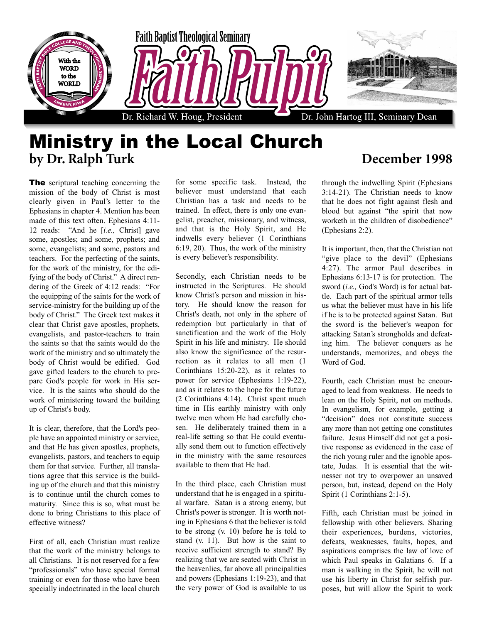

## Ministry in the Local Church **by Dr. Ralph Turk December 1998**

**The** scriptural teaching concerning the mission of the body of Christ is most clearly given in Paul's letter to the Ephesians in chapter 4. Mention has been made of this text often. Ephesians 4:11- 12 reads: "And he [*i.e.,* Christ] gave some, apostles; and some, prophets; and some, evangelists; and some, pastors and teachers. For the perfecting of the saints, for the work of the ministry, for the edifying of the body of Christ." A direct rendering of the Greek of 4:12 reads: "For the equipping of the saints for the work of service-ministry for the building up of the body of Christ." The Greek text makes it clear that Christ gave apostles, prophets, evangelists, and pastor-teachers to train the saints so that the saints would do the work of the ministry and so ultimately the body of Christ would be edified. God gave gifted leaders to the church to prepare God's people for work in His service. It is the saints who should do the work of ministering toward the building up of Christ's body.

It is clear, therefore, that the Lord's people have an appointed ministry or service, and that He has given apostles, prophets, evangelists, pastors, and teachers to equip them for that service. Further, all translations agree that this service is the building up of the church and that this ministry is to continue until the church comes to maturity. Since this is so, what must be done to bring Christians to this place of effective witness?

First of all, each Christian must realize that the work of the ministry belongs to all Christians. It is not reserved for a few "professionals" who have special formal training or even for those who have been specially indoctrinated in the local church for some specific task. Instead, the believer must understand that each Christian has a task and needs to be trained. In effect, there is only one evangelist, preacher, missionary, and witness, and that is the Holy Spirit, and He indwells every believer (1 Corinthians 6:19, 20). Thus, the work of the ministry is every believer's responsibility.

Secondly, each Christian needs to be instructed in the Scriptures. He should know Christ's person and mission in history. He should know the reason for Christ's death, not only in the sphere of redemption but particularly in that of sanctification and the work of the Holy Spirit in his life and ministry. He should also know the significance of the resurrection as it relates to all men (1 Corinthians 15:20-22), as it relates to power for service (Ephesians 1:19-22), and as it relates to the hope for the future (2 Corinthians 4:14). Christ spent much time in His earthly ministry with only twelve men whom He had carefully chosen. He deliberately trained them in a real-life setting so that He could eventually send them out to function effectively in the ministry with the same resources available to them that He had.

In the third place, each Christian must understand that he is engaged in a spiritual warfare. Satan is a strong enemy, but Christ's power is stronger. It is worth noting in Ephesians 6 that the believer is told to be strong (v. 10) before he is told to stand (v. 11). But how is the saint to receive sufficient strength to stand? By realizing that we are seated with Christ in the heavenlies, far above all principalities and powers (Ephesians 1:19-23), and that the very power of God is available to us

through the indwelling Spirit (Ephesians 3:14-21). The Christian needs to know that he does not fight against flesh and blood but against "the spirit that now worketh in the children of disobedience" (Ephesians 2:2).

It is important, then, that the Christian not "give place to the devil" (Ephesians 4:27). The armor Paul describes in Ephesians 6:13-17 is for protection. The sword (*i.e.,* God's Word) is for actual battle. Each part of the spiritual armor tells us what the believer must have in his life if he is to be protected against Satan. But the sword is the believer's weapon for attacking Satan's strongholds and defeating him. The believer conquers as he understands, memorizes, and obeys the Word of God.

Fourth, each Christian must be encouraged to lead from weakness. He needs to lean on the Holy Spirit, not on methods. In evangelism, for example, getting a "decision" does not constitute success any more than not getting one constitutes failure. Jesus Himself did not get a positive response as evidenced in the case of the rich young ruler and the ignoble apostate, Judas. It is essential that the witnesser not try to overpower an unsaved person, but, instead, depend on the Holy Spirit (1 Corinthians 2:1-5).

Fifth, each Christian must be joined in fellowship with other believers. Sharing their experiences, burdens, victories, defeats, weaknesses, faults, hopes, and aspirations comprises the law of love of which Paul speaks in Galatians 6. If a man is walking in the Spirit, he will not use his liberty in Christ for selfish purposes, but will allow the Spirit to work